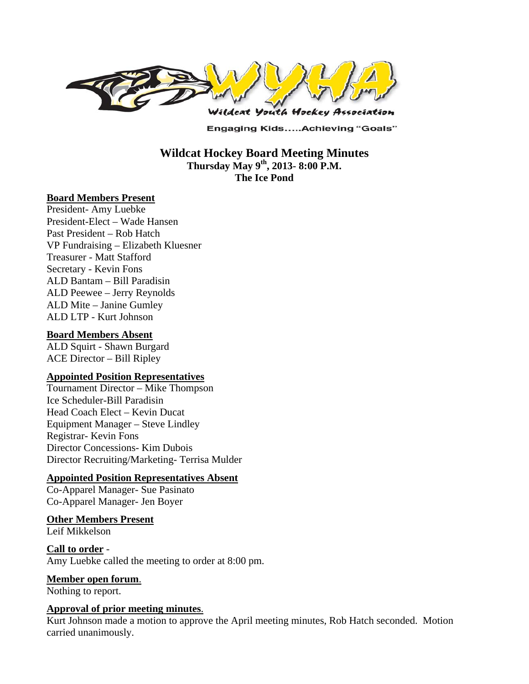

**Engaging Kids.....Achieving "Goals"** 

**Wildcat Hockey Board Meeting Minutes Thursday May 9th, 2013- 8:00 P.M. The Ice Pond** 

#### **Board Members Present**

President- Amy Luebke President-Elect – Wade Hansen Past President – Rob Hatch VP Fundraising – Elizabeth Kluesner Treasurer - Matt Stafford Secretary - Kevin Fons ALD Bantam – Bill Paradisin ALD Peewee – Jerry Reynolds ALD Mite – Janine Gumley ALD LTP - Kurt Johnson

#### **Board Members Absent**

ALD Squirt - Shawn Burgard ACE Director – Bill Ripley

#### **Appointed Position Representatives**

Tournament Director – Mike Thompson Ice Scheduler-Bill Paradisin Head Coach Elect – Kevin Ducat Equipment Manager – Steve Lindley Registrar- Kevin Fons Director Concessions- Kim Dubois Director Recruiting/Marketing- Terrisa Mulder

#### **Appointed Position Representatives Absent**

Co-Apparel Manager- Sue Pasinato Co-Apparel Manager- Jen Boyer

#### **Other Members Present**

Leif Mikkelson

**Call to order** - Amy Luebke called the meeting to order at 8:00 pm.

**Member open forum**.

Nothing to report.

#### **Approval of prior meeting minutes**.

Kurt Johnson made a motion to approve the April meeting minutes, Rob Hatch seconded. Motion carried unanimously.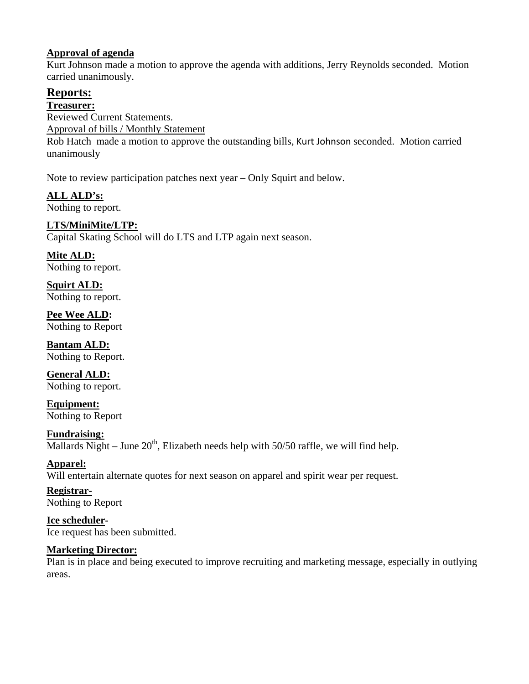## **Approval of agenda**

Kurt Johnson made a motion to approve the agenda with additions, Jerry Reynolds seconded. Motion carried unanimously.

# **Reports:**

**Treasurer:** 

Reviewed Current Statements.

Approval of bills / Monthly Statement

Rob Hatch made a motion to approve the outstanding bills, Kurt Johnson seconded. Motion carried unanimously

Note to review participation patches next year – Only Squirt and below.

**ALL ALD's:**  Nothing to report.

# **LTS/MiniMite/LTP:**

Capital Skating School will do LTS and LTP again next season.

**Mite ALD:**  Nothing to report.

**Squirt ALD:**  Nothing to report.

**Pee Wee ALD:**  Nothing to Report

**Bantam ALD:**  Nothing to Report.

**General ALD:**  Nothing to report.

**Equipment:**  Nothing to Report

**Fundraising:**  Mallards Night – June  $20<sup>th</sup>$ , Elizabeth needs help with 50/50 raffle, we will find help.

**Apparel:**  Will entertain alternate quotes for next season on apparel and spirit wear per request.

**Registrar-**Nothing to Report

**Ice scheduler-**Ice request has been submitted.

## **Marketing Director:**

Plan is in place and being executed to improve recruiting and marketing message, especially in outlying areas.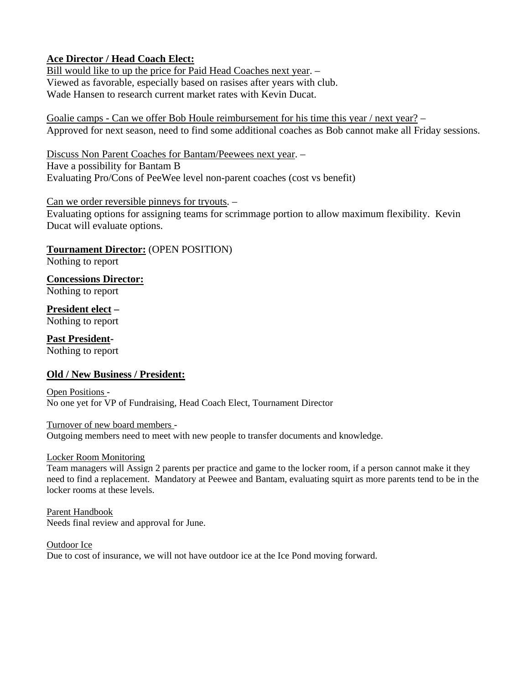## **Ace Director / Head Coach Elect:**

Bill would like to up the price for Paid Head Coaches next year. – Viewed as favorable, especially based on rasises after years with club. Wade Hansen to research current market rates with Kevin Ducat.

Goalie camps - Can we offer Bob Houle reimbursement for his time this year / next year? – Approved for next season, need to find some additional coaches as Bob cannot make all Friday sessions.

Discuss Non Parent Coaches for Bantam/Peewees next year. – Have a possibility for Bantam B Evaluating Pro/Cons of PeeWee level non-parent coaches (cost vs benefit)

#### Can we order reversible pinneys for tryouts. –

Evaluating options for assigning teams for scrimmage portion to allow maximum flexibility. Kevin Ducat will evaluate options.

### **Tournament Director:** (OPEN POSITION)

Nothing to report

**Concessions Director:** Nothing to report

**President elect –**

Nothing to report

**Past President-**Nothing to report

## **Old / New Business / President:**

Open Positions - No one yet for VP of Fundraising, Head Coach Elect, Tournament Director

Turnover of new board members - Outgoing members need to meet with new people to transfer documents and knowledge.

Locker Room Monitoring

Team managers will Assign 2 parents per practice and game to the locker room, if a person cannot make it they need to find a replacement. Mandatory at Peewee and Bantam, evaluating squirt as more parents tend to be in the locker rooms at these levels.

Parent Handbook Needs final review and approval for June.

Outdoor Ice Due to cost of insurance, we will not have outdoor ice at the Ice Pond moving forward.